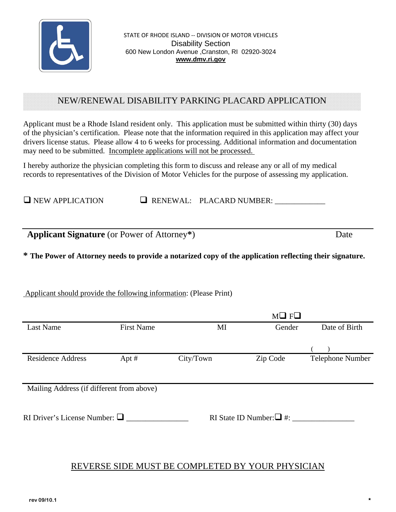

STATE OF RHODE ISLAND ‐‐ DIVISION OF MOTOR VEHICLES Disability Section 600 New London Avenue ,Cranston, RI 02920-3024 **www.dmv.ri.gov**

# NEW/RENEWAL DISABILITY PARKING PLACARD APPLICATION

Applicant must be a Rhode Island resident only. This application must be submitted within thirty (30) days of the physician's certification. Please note that the information required in this application may affect your drivers license status. Please allow 4 to 6 weeks for processing. Additional information and documentation may need to be submitted. Incomplete applications will not be processed. .

I hereby authorize the physician completing this form to discuss and release any or all of my medical records to representatives of the Division of Motor Vehicles for the purpose of assessing my application.

 $\Box$  NEW APPLICATION  $\Box$  RENEWAL: PLACARD NUMBER:

**Applicant Signature** (or Power of Attorney**\***) Date

**\* The Power of Attorney needs to provide a notarized copy of the application reflecting their signature.**

## Applicant should provide the following information: (Please Print)

|                                           |                   |           | $M \square$ $F \square$       |                  |
|-------------------------------------------|-------------------|-----------|-------------------------------|------------------|
| <b>Last Name</b>                          | <b>First Name</b> | MI        | Gender                        | Date of Birth    |
|                                           |                   |           |                               |                  |
|                                           |                   |           |                               |                  |
| <b>Residence Address</b>                  | Apt $#$           | City/Town | Zip Code                      | Telephone Number |
|                                           |                   |           |                               |                  |
| Mailing Address (if different from above) |                   |           |                               |                  |
|                                           |                   |           |                               |                  |
| RI Driver's License Number: $\Box$        |                   |           | RI State ID Number: $\Box$ #: |                  |
|                                           |                   |           |                               |                  |
|                                           |                   |           |                               |                  |
|                                           |                   |           |                               |                  |

# REVERSE SIDE MUST BE COMPLETED BY YOUR PHYSICIAN